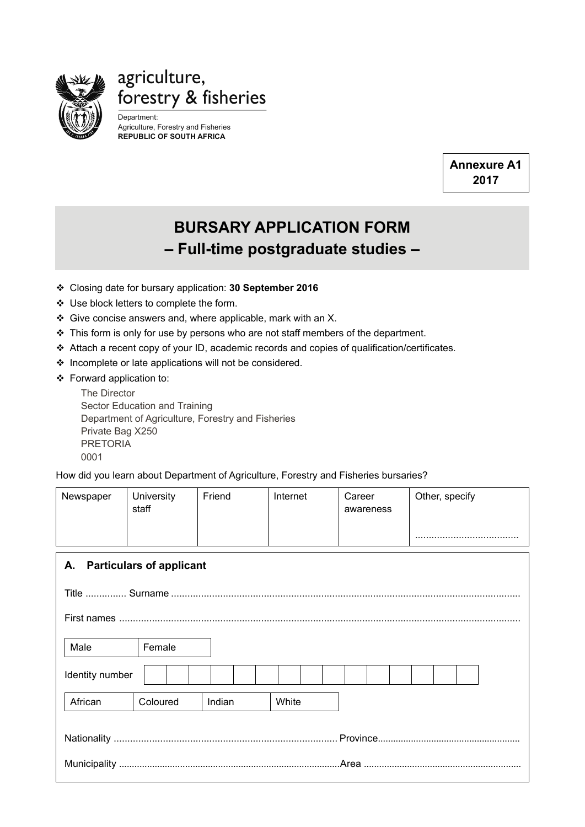

agriculture, forestry & fisheries

Department: Agriculture, Forestry and Fisheries **REPUBLIC OF SOUTH AFRICA**

> **Annexure A1 2017**

# **Bursary application form – Full-time postgraduate studies –**

- Closing date for bursary application: **30 September 2016**
- ❖ Use block letters to complete the form.
- $\div$  Give concise answers and, where applicable, mark with an X.
- \* This form is only for use by persons who are not staff members of the department.
- Attach a recent copy of your ID, academic records and copies of qualification/certificates.
- ❖ Incomplete or late applications will not be considered.
- Forward application to:

 The Director Sector Education and Training Department of Agriculture, Forestry and Fisheries Private Bag X250 PRETORIA 0001

How did you learn about Department of Agriculture, Forestry and Fisheries bursaries?

| Newspaper | Jniversity<br>staff | Friend | Internet | Career<br>awareness | Other, specify |
|-----------|---------------------|--------|----------|---------------------|----------------|
|           |                     |        |          |                     |                |

| <b>Particulars of applicant</b><br>А. |          |        |       |  |  |  |
|---------------------------------------|----------|--------|-------|--|--|--|
|                                       |          |        |       |  |  |  |
|                                       |          |        |       |  |  |  |
| Male                                  | Female   |        |       |  |  |  |
| Identity number                       |          |        |       |  |  |  |
| African                               | Coloured | Indian | White |  |  |  |
|                                       |          |        |       |  |  |  |
|                                       |          |        |       |  |  |  |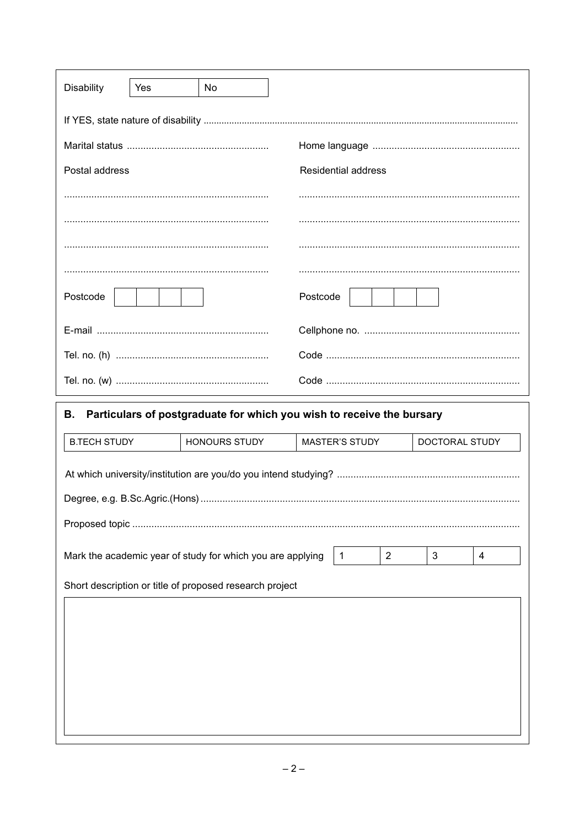| <b>Disability</b><br>Yes | No                                                                    |                                |                     |  |  |
|--------------------------|-----------------------------------------------------------------------|--------------------------------|---------------------|--|--|
|                          |                                                                       |                                |                     |  |  |
|                          |                                                                       |                                |                     |  |  |
| Postal address           |                                                                       | <b>Residential address</b>     |                     |  |  |
|                          |                                                                       |                                |                     |  |  |
|                          |                                                                       |                                |                     |  |  |
|                          |                                                                       |                                |                     |  |  |
|                          |                                                                       |                                |                     |  |  |
| Postcode                 |                                                                       | Postcode                       |                     |  |  |
|                          |                                                                       |                                |                     |  |  |
|                          |                                                                       |                                |                     |  |  |
|                          |                                                                       |                                |                     |  |  |
|                          |                                                                       |                                |                     |  |  |
|                          |                                                                       |                                |                     |  |  |
| В.                       | Particulars of postgraduate for which you wish to receive the bursary |                                |                     |  |  |
| <b>B.TECH STUDY</b>      | <b>HONOURS STUDY</b>                                                  | <b>MASTER'S STUDY</b>          | DOCTORAL STUDY      |  |  |
|                          |                                                                       |                                |                     |  |  |
|                          |                                                                       |                                |                     |  |  |
|                          |                                                                       |                                |                     |  |  |
|                          | Mark the academic year of study for which you are applying            | $\mathbf{1}$<br>$\overline{2}$ | 3<br>$\overline{4}$ |  |  |
|                          | Short description or title of proposed research project               |                                |                     |  |  |
|                          |                                                                       |                                |                     |  |  |
|                          |                                                                       |                                |                     |  |  |
|                          |                                                                       |                                |                     |  |  |
|                          |                                                                       |                                |                     |  |  |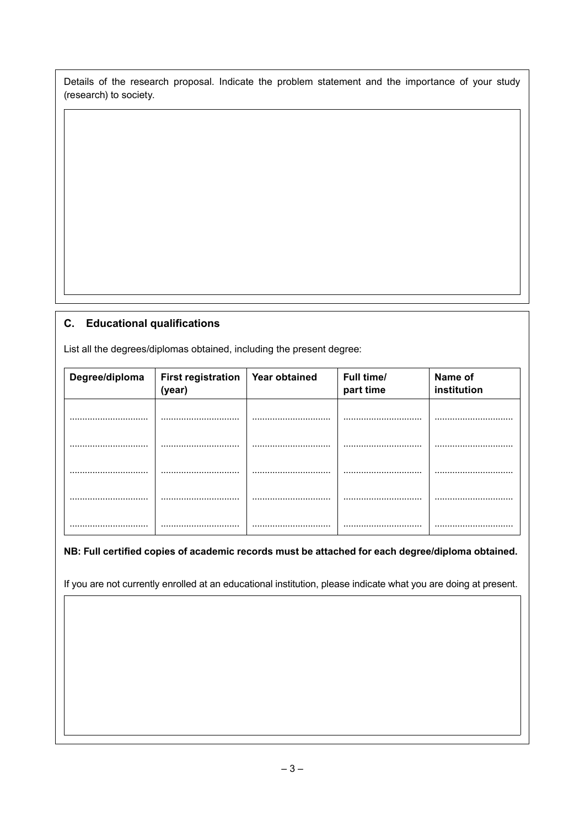Details of the research proposal. Indicate the problem statement and the importance of your study (research) to society.

### **C. Educational qualifications**

List all the degrees/diplomas obtained, including the present degree:

| Degree/diploma | <b>First registration</b><br>(year) | Year obtained | Full time/<br>part time | Name of<br>institution |
|----------------|-------------------------------------|---------------|-------------------------|------------------------|
| <br>.          | .                                   | <br>.         | .<br>.                  | .                      |
| .              | .                                   | .<br>.        | .                       |                        |
|                |                                     |               |                         |                        |
|                |                                     | .<br>.        |                         |                        |
|                |                                     |               |                         |                        |

#### **NB: Full certified copies of academic records must be attached for each degree/diploma obtained.**

If you are not currently enrolled at an educational institution, please indicate what you are doing at present.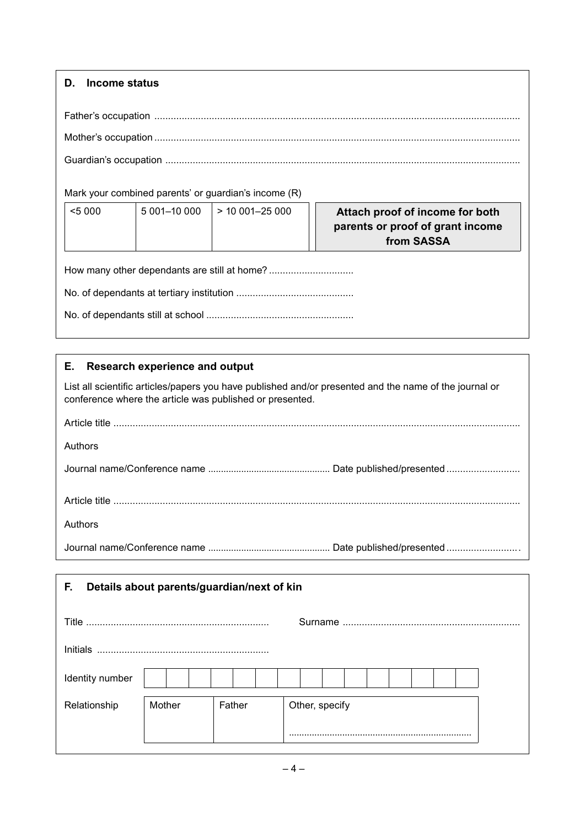#### **D. Income status**

|  | Mark your combined parents' or guardian's income (R) |  |  |
|--|------------------------------------------------------|--|--|
|  |                                                      |  |  |

| Attach proof of income for both  | $>$ 10 001–25 000 | 5 001-10 000 | < 5000 |
|----------------------------------|-------------------|--------------|--------|
| parents or proof of grant income |                   |              |        |
| from SASSA                       |                   |              |        |
|                                  |                   |              |        |

How many other dependants are still at home? ...................................

No. of dependants at tertiary institution ...........................................

No. of dependants still at school ......................................................

## **E. Research experience and output**

List all scientific articles/papers you have published and/or presented and the name of the journal or conference where the article was published or presented.

| Authors |                                                      |
|---------|------------------------------------------------------|
|         |                                                      |
|         |                                                      |
| Authors |                                                      |
|         | <b>Dental and the land benefit and and the state</b> |

Journal name/Conference name ................................................ Date published/presented ...........................

| F.<br>Details about parents/guardian/next of kin |        |        |                |  |  |
|--------------------------------------------------|--------|--------|----------------|--|--|
|                                                  |        |        |                |  |  |
| Initials                                         |        |        |                |  |  |
| Identity number                                  |        |        |                |  |  |
| Relationship                                     | Mother | Father | Other, specify |  |  |
|                                                  |        |        |                |  |  |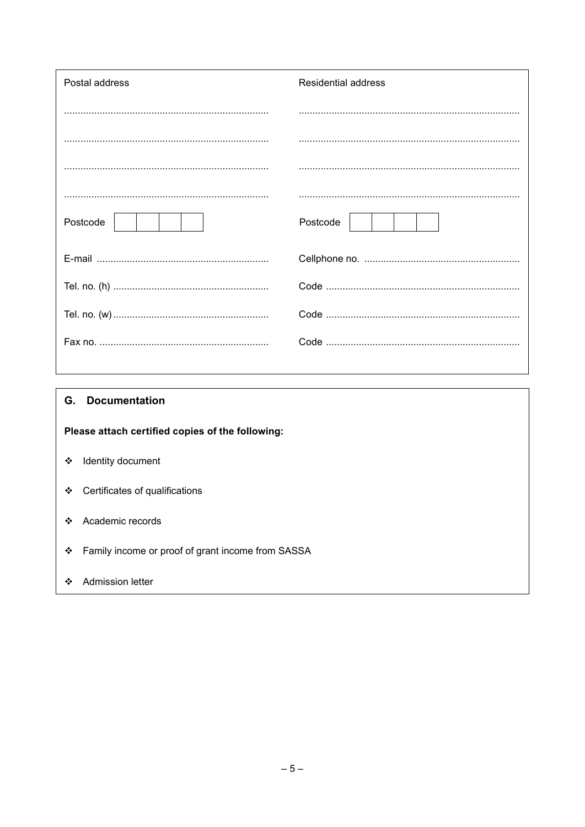| Postal address | <b>Residential address</b> |
|----------------|----------------------------|
|                |                            |
|                |                            |
|                |                            |
|                |                            |
| Postcode       | Postcode                   |
|                |                            |
|                |                            |
|                |                            |
|                |                            |
|                |                            |

### G. Documentation

Please attach certified copies of the following:

- ❖ Identity document
- ❖ Certificates of qualifications

#### Academic records  $\ddot{\bullet}$

❖ Family income or proof of grant income from SASSA

#### ❖ Admission letter